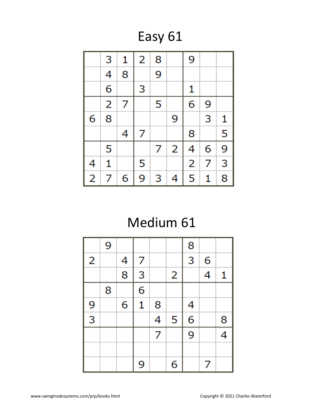Easy 61

|                         | 3              | 1 | 2 | 8 |   | 9 |   |   |
|-------------------------|----------------|---|---|---|---|---|---|---|
|                         | 4              | 8 |   | 9 |   |   |   |   |
|                         | 6              |   | 3 |   |   | 1 |   |   |
|                         | $\overline{2}$ | 7 |   | 5 |   | 6 | 9 |   |
| 6                       | 8              |   |   |   | 9 |   | 3 | 1 |
|                         |                | 4 | 7 |   |   | 8 |   | 5 |
|                         | 5              |   |   | 7 | 2 | 4 | 6 | 9 |
| 4                       | 1              |   | 5 |   |   | 2 | 7 | 3 |
| $\overline{\mathbf{c}}$ | 7              | 6 | 9 | 3 | 4 | 5 | 1 | 8 |

# Medium 61

|                | 9 |                |   |   |   | 8              |                          |   |
|----------------|---|----------------|---|---|---|----------------|--------------------------|---|
| $\overline{2}$ |   | 4              | 7 |   |   | 3              | 6                        |   |
|                |   | $\overline{8}$ | 3 |   | 2 |                | 4                        | 1 |
|                | 8 |                | 6 |   |   |                |                          |   |
| 9              |   | 6              | 1 | 8 |   | 4              |                          |   |
| $\overline{3}$ |   |                |   | 4 | 5 | $\overline{6}$ |                          | 8 |
|                |   |                |   | 7 |   | 9              |                          | 4 |
|                |   |                |   |   |   |                |                          |   |
|                |   |                | 9 |   | 6 |                | $\overline{\mathcal{L}}$ |   |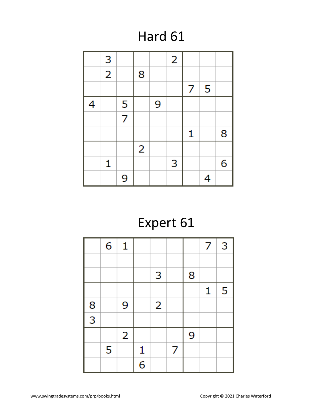# Hard 61

|   | 3              |                |                |   | $\overline{2}$ |   |   |   |
|---|----------------|----------------|----------------|---|----------------|---|---|---|
|   | $\overline{2}$ |                | 8              |   |                |   |   |   |
|   |                |                |                |   |                | 7 | 5 |   |
| 4 |                | 5              |                | 9 |                |   |   |   |
|   |                | $\overline{7}$ |                |   |                |   |   |   |
|   |                |                |                |   |                | 1 |   | 8 |
|   |                |                | $\overline{2}$ |   |                |   |   |   |
|   | 1              |                |                |   | 3              |   |   | 6 |
|   |                | 9              |                |   |                |   | 4 |   |

# Expert 61

|               | 6 | 1              |   |                |   |   | 7 | 3 |
|---------------|---|----------------|---|----------------|---|---|---|---|
|               |   |                |   |                |   |   |   |   |
|               |   |                |   | 3              |   | 8 |   |   |
|               |   |                |   |                |   |   | 1 | 5 |
|               |   | 9              |   | $\overline{2}$ |   |   |   |   |
| $\frac{8}{3}$ |   |                |   |                |   |   |   |   |
|               |   | $\overline{2}$ |   |                |   | 9 |   |   |
|               | 5 |                | 1 |                | 7 |   |   |   |
|               |   |                | 6 |                |   |   |   |   |